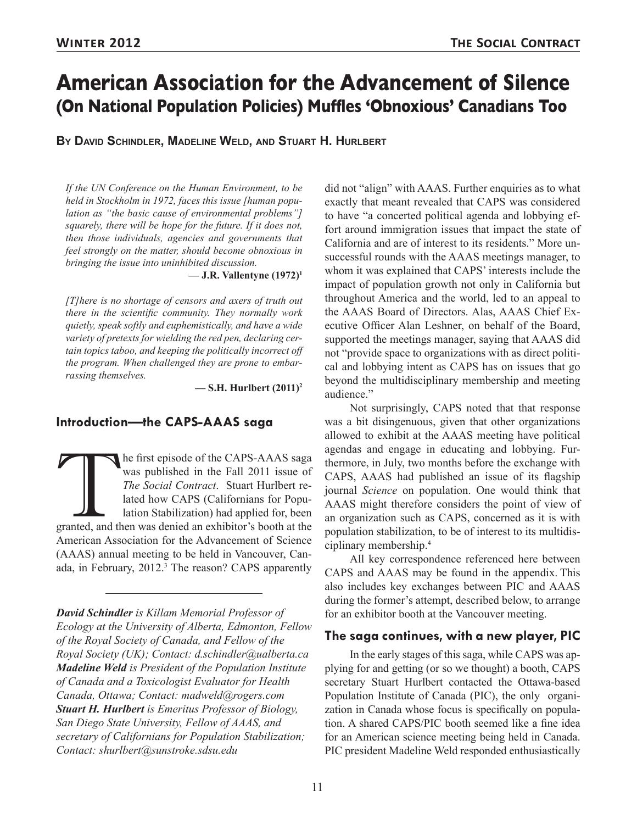# **American Association for the Advancement of Silence (On National Population Policies) Muffles 'Obnoxious' Canadians Too**

**By David Schindler, Madeline Weld, and Stuart H. Hurlbert**

*If the UN Conference on the Human Environment, to be held in Stockholm in 1972, faces this issue [human population as "the basic cause of environmental problems"] squarely, there will be hope for the future. If it does not, then those individuals, agencies and governments that feel strongly on the matter, should become obnoxious in bringing the issue into uninhibited discussion.*

**— J.R. Vallentyne (1972)1**

*[T]here is no shortage of censors and axers of truth out there in the scientific community. They normally work quietly, speak softly and euphemistically, and have a wide variety of pretexts for wielding the red pen, declaring certain topics taboo, and keeping the politically incorrect off the program. When challenged they are prone to embarrassing themselves.*

**— S.H. Hurlbert (2011)2**

## **Introduction—the CAPS-AAAS saga**

The first episode of the CAPS-AAAS saga was published in the Fall 2011 issue of *The Social Contract*. Stuart Hurlbert related how CAPS (Californians for Population Stabilization) had applied for, been granted, and then wa was published in the Fall 2011 issue of *The Social Contract*. Stuart Hurlbert related how CAPS (Californians for Population Stabilization) had applied for, been American Association for the Advancement of Science (AAAS) annual meeting to be held in Vancouver, Canada, in February, 2012.<sup>3</sup> The reason? CAPS apparently

*David Schindler is Killam Memorial Professor of Ecology at the University of Alberta, Edmonton, Fellow of the Royal Society of Canada, and Fellow of the Royal Society (UK); Contact: d.schindler@ualberta.ca Madeline Weld is President of the Population Institute of Canada and a Toxicologist Evaluator for Health Canada, Ottawa; Contact: madweld@rogers.com Stuart H. Hurlbert is Emeritus Professor of Biology, San Diego State University, Fellow of AAAS, and secretary of Californians for Population Stabilization; Contact: shurlbert@sunstroke.sdsu.edu* 

did not "align" with AAAS. Further enquiries as to what exactly that meant revealed that CAPS was considered to have "a concerted political agenda and lobbying effort around immigration issues that impact the state of California and are of interest to its residents." More unsuccessful rounds with the AAAS meetings manager, to whom it was explained that CAPS' interests include the impact of population growth not only in California but throughout America and the world, led to an appeal to the AAAS Board of Directors. Alas, AAAS Chief Executive Officer Alan Leshner, on behalf of the Board, supported the meetings manager, saying that AAAS did not "provide space to organizations with as direct political and lobbying intent as CAPS has on issues that go beyond the multidisciplinary membership and meeting audience."

Not surprisingly, CAPS noted that that response was a bit disingenuous, given that other organizations allowed to exhibit at the AAAS meeting have political agendas and engage in educating and lobbying. Furthermore, in July, two months before the exchange with CAPS, AAAS had published an issue of its flagship journal *Science* on population. One would think that AAAS might therefore considers the point of view of an organization such as CAPS, concerned as it is with population stabilization, to be of interest to its multidisciplinary membership.<sup>4</sup>

All key correspondence referenced here between CAPS and AAAS may be found in the appendix. This also includes key exchanges between PIC and AAAS during the former's attempt, described below, to arrange for an exhibitor booth at the Vancouver meeting.

#### **The saga continues, with a new player, PIC**

In the early stages of this saga, while CAPS was applying for and getting (or so we thought) a booth, CAPS secretary Stuart Hurlbert contacted the Ottawa-based Population Institute of Canada (PIC), the only organization in Canada whose focus is specifically on population. A shared CAPS/PIC booth seemed like a fine idea for an American science meeting being held in Canada. PIC president Madeline Weld responded enthusiastically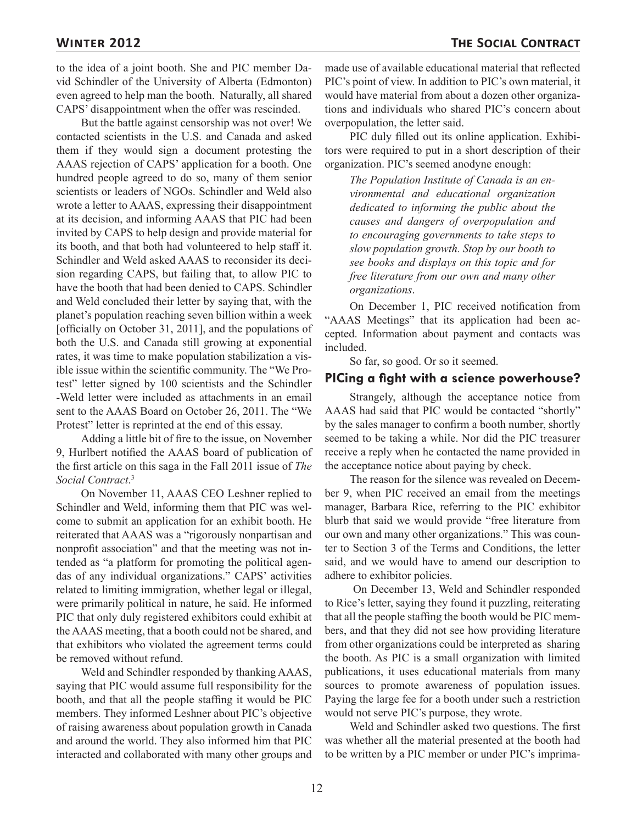to the idea of a joint booth. She and PIC member David Schindler of the University of Alberta (Edmonton) even agreed to help man the booth. Naturally, all shared CAPS' disappointment when the offer was rescinded.

But the battle against censorship was not over! We contacted scientists in the U.S. and Canada and asked them if they would sign a document protesting the AAAS rejection of CAPS' application for a booth. One hundred people agreed to do so, many of them senior scientists or leaders of NGOs. Schindler and Weld also wrote a letter to AAAS, expressing their disappointment at its decision, and informing AAAS that PIC had been invited by CAPS to help design and provide material for its booth, and that both had volunteered to help staff it. Schindler and Weld asked AAAS to reconsider its decision regarding CAPS, but failing that, to allow PIC to have the booth that had been denied to CAPS. Schindler and Weld concluded their letter by saying that, with the planet's population reaching seven billion within a week [officially on October 31, 2011], and the populations of both the U.S. and Canada still growing at exponential rates, it was time to make population stabilization a visible issue within the scientific community. The "We Protest" letter signed by 100 scientists and the Schindler -Weld letter were included as attachments in an email sent to the AAAS Board on October 26, 2011. The "We Protest" letter is reprinted at the end of this essay.

Adding a little bit of fire to the issue, on November 9, Hurlbert notified the AAAS board of publication of the first article on this saga in the Fall 2011 issue of *The Social Contract*. 3

On November 11, AAAS CEO Leshner replied to Schindler and Weld, informing them that PIC was welcome to submit an application for an exhibit booth. He reiterated that AAAS was a "rigorously nonpartisan and nonprofit association" and that the meeting was not intended as "a platform for promoting the political agendas of any individual organizations." CAPS' activities related to limiting immigration, whether legal or illegal, were primarily political in nature, he said. He informed PIC that only duly registered exhibitors could exhibit at the AAAS meeting, that a booth could not be shared, and that exhibitors who violated the agreement terms could be removed without refund.

Weld and Schindler responded by thanking AAAS, saying that PIC would assume full responsibility for the booth, and that all the people staffing it would be PIC members. They informed Leshner about PIC's objective of raising awareness about population growth in Canada and around the world. They also informed him that PIC interacted and collaborated with many other groups and made use of available educational material that reflected PIC's point of view. In addition to PIC's own material, it would have material from about a dozen other organizations and individuals who shared PIC's concern about overpopulation, the letter said.

PIC duly filled out its online application. Exhibitors were required to put in a short description of their organization. PIC's seemed anodyne enough:

*The Population Institute of Canada is an environmental and educational organization dedicated to informing the public about the causes and dangers of overpopulation and to encouraging governments to take steps to slow population growth. Stop by our booth to see books and displays on this topic and for free literature from our own and many other organizations*.

On December 1, PIC received notification from "AAAS Meetings" that its application had been accepted. Information about payment and contacts was included.

So far, so good. Or so it seemed.

## **PICing a fight with a science powerhouse?**

Strangely, although the acceptance notice from AAAS had said that PIC would be contacted "shortly" by the sales manager to confirm a booth number, shortly seemed to be taking a while. Nor did the PIC treasurer receive a reply when he contacted the name provided in the acceptance notice about paying by check.

The reason for the silence was revealed on December 9, when PIC received an email from the meetings manager, Barbara Rice, referring to the PIC exhibitor blurb that said we would provide "free literature from our own and many other organizations." This was counter to Section 3 of the Terms and Conditions, the letter said, and we would have to amend our description to adhere to exhibitor policies.

 On December 13, Weld and Schindler responded to Rice's letter, saying they found it puzzling, reiterating that all the people staffing the booth would be PIC members, and that they did not see how providing literature from other organizations could be interpreted as sharing the booth. As PIC is a small organization with limited publications, it uses educational materials from many sources to promote awareness of population issues. Paying the large fee for a booth under such a restriction would not serve PIC's purpose, they wrote.

Weld and Schindler asked two questions. The first was whether all the material presented at the booth had to be written by a PIC member or under PIC's imprima